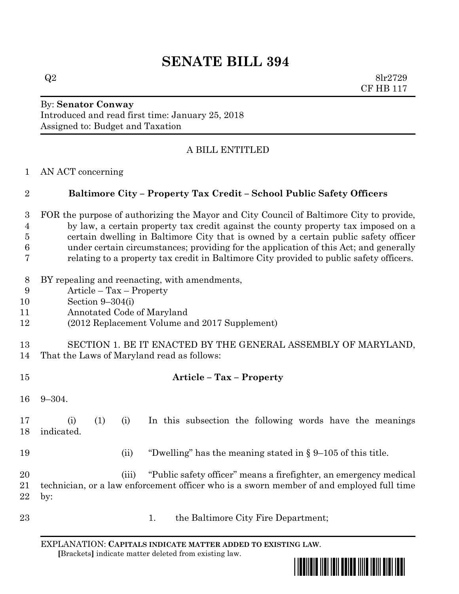# **SENATE BILL 394**

 $Q2 \qquad \qquad 8\text{lr}2729$ CF HB 117

## By: **Senator Conway** Introduced and read first time: January 25, 2018 Assigned to: Budget and Taxation

# A BILL ENTITLED

#### AN ACT concerning

# **Baltimore City – Property Tax Credit – School Public Safety Officers**

 FOR the purpose of authorizing the Mayor and City Council of Baltimore City to provide, by law, a certain property tax credit against the county property tax imposed on a certain dwelling in Baltimore City that is owned by a certain public safety officer under certain circumstances; providing for the application of this Act; and generally relating to a property tax credit in Baltimore City provided to public safety officers.

- BY repealing and reenacting, with amendments,
- Article Tax Property
- Section 9–304(i)
- Annotated Code of Maryland
- (2012 Replacement Volume and 2017 Supplement)
- SECTION 1. BE IT ENACTED BY THE GENERAL ASSEMBLY OF MARYLAND, That the Laws of Maryland read as follows:
- 
- 
- **Article – Tax – Property**
- 9–304.

 (i) (1) (i) In this subsection the following words have the meanings indicated.

- 
- (ii) "Dwelling" has the meaning stated in § 9–105 of this title.

 (iii) "Public safety officer" means a firefighter, an emergency medical technician, or a law enforcement officer who is a sworn member of and employed full time by:

23 1. the Baltimore City Fire Department;

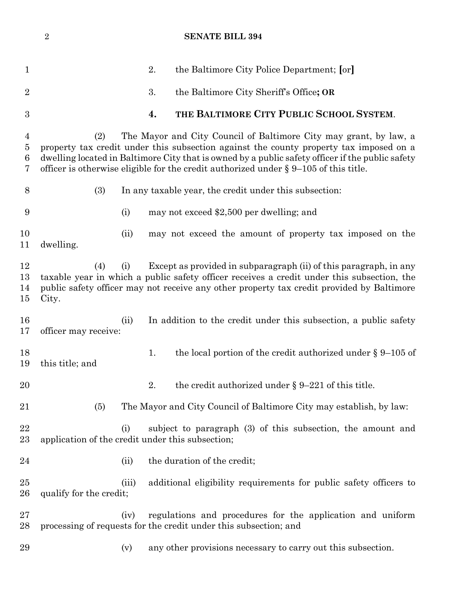## **SENATE BILL 394**

| $\mathbf 1$                         |                                                                                                                                                                                                                                                                                                                                                                   |       | 2. | the Baltimore City Police Department; [or]                                                                                     |
|-------------------------------------|-------------------------------------------------------------------------------------------------------------------------------------------------------------------------------------------------------------------------------------------------------------------------------------------------------------------------------------------------------------------|-------|----|--------------------------------------------------------------------------------------------------------------------------------|
| $\overline{2}$                      |                                                                                                                                                                                                                                                                                                                                                                   |       | 3. | the Baltimore City Sheriff's Office; OR                                                                                        |
| $\boldsymbol{3}$                    |                                                                                                                                                                                                                                                                                                                                                                   |       | 4. | THE BALTIMORE CITY PUBLIC SCHOOL SYSTEM.                                                                                       |
| $\overline{4}$<br>$\bf 5$<br>6<br>7 | The Mayor and City Council of Baltimore City may grant, by law, a<br>(2)<br>property tax credit under this subsection against the county property tax imposed on a<br>dwelling located in Baltimore City that is owned by a public safety officer if the public safety<br>officer is otherwise eligible for the credit authorized under $\S 9-105$ of this title. |       |    |                                                                                                                                |
| 8                                   | (3)                                                                                                                                                                                                                                                                                                                                                               |       |    | In any taxable year, the credit under this subsection:                                                                         |
| 9                                   |                                                                                                                                                                                                                                                                                                                                                                   | (i)   |    | may not exceed \$2,500 per dwelling; and                                                                                       |
| 10<br>11                            | dwelling.                                                                                                                                                                                                                                                                                                                                                         | (ii)  |    | may not exceed the amount of property tax imposed on the                                                                       |
| 12<br>13<br>14<br>15                | Except as provided in subparagraph (ii) of this paragraph, in any<br>(4)<br>(i)<br>taxable year in which a public safety officer receives a credit under this subsection, the<br>public safety officer may not receive any other property tax credit provided by Baltimore<br>City.                                                                               |       |    |                                                                                                                                |
| 16<br>17                            | officer may receive:                                                                                                                                                                                                                                                                                                                                              | (ii)  |    | In addition to the credit under this subsection, a public safety                                                               |
| 18<br>19                            | this title; and                                                                                                                                                                                                                                                                                                                                                   |       | 1. | the local portion of the credit authorized under $\S 9-105$ of                                                                 |
| 20                                  |                                                                                                                                                                                                                                                                                                                                                                   |       | 2. | the credit authorized under $\S 9-221$ of this title.                                                                          |
| 21                                  | (5)                                                                                                                                                                                                                                                                                                                                                               |       |    | The Mayor and City Council of Baltimore City may establish, by law:                                                            |
| 22<br>$23\,$                        | application of the credit under this subsection;                                                                                                                                                                                                                                                                                                                  | (i)   |    | subject to paragraph (3) of this subsection, the amount and                                                                    |
| 24                                  |                                                                                                                                                                                                                                                                                                                                                                   | (ii)  |    | the duration of the credit;                                                                                                    |
| $25\,$<br>$26\,$                    | qualify for the credit;                                                                                                                                                                                                                                                                                                                                           | (iii) |    | additional eligibility requirements for public safety officers to                                                              |
| $27\,$<br>28                        |                                                                                                                                                                                                                                                                                                                                                                   | (iv)  |    | regulations and procedures for the application and uniform<br>processing of requests for the credit under this subsection; and |
| 29                                  |                                                                                                                                                                                                                                                                                                                                                                   | (v)   |    | any other provisions necessary to carry out this subsection.                                                                   |